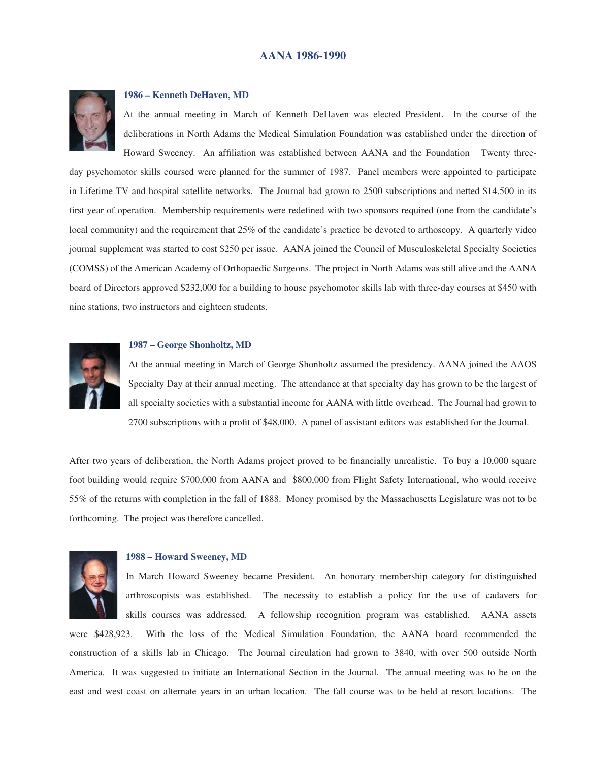

# **1986 – Kenneth DeHaven, MD**

At the annual meeting in March of Kenneth DeHaven was elected President. In the course of the deliberations in North Adams the Medical Simulation Foundation was established under the direction of Howard Sweeney. An affiliation was established between AANA and the Foundation Twenty three-

day psychomotor skills coursed were planned for the summer of 1987. Panel members were appointed to participate in Lifetime TV and hospital satellite networks. The Journal had grown to 2500 subscriptions and netted \$14,500 in its first year of operation. Membership requirements were redefined with two sponsors required (one from the candidate's local community) and the requirement that 25% of the candidate's practice be devoted to arthoscopy. A quarterly video journal supplement was started to cost \$250 per issue. AANA joined the Council of Musculoskeletal Specialty Societies (COMSS) of the American Academy of Orthopaedic Surgeons. The project in North Adams was still alive and the AANA board of Directors approved \$232,000 for a building to house psychomotor skills lab with three-day courses at \$450 with nine stations, two instructors and eighteen students.



#### **1987 – George Shonholtz, MD**

At the annual meeting in March of George Shonholtz assumed the presidency. AANA joined the AAOS Specialty Day at their annual meeting. The attendance at that specialty day has grown to be the largest of all specialty societies with a substantial income for AANA with little overhead. The Journal had grown to 2700 subscriptions with a profit of \$48,000. A panel of assistant editors was established for the Journal.

After two years of deliberation, the North Adams project proved to be financially unrealistic. To buy a 10,000 square foot building would require \$700,000 from AANA and \$800,000 from Flight Safety International, who would receive 55% of the returns with completion in the fall of 1888. Money promised by the Massachusetts Legislature was not to be forthcoming. The project was therefore cancelled.



### **1988 – Howard Sweeney, MD**

In March Howard Sweeney became President. An honorary membership category for distinguished arthroscopists was established. The necessity to establish a policy for the use of cadavers for skills courses was addressed. A fellowship recognition program was established. AANA assets

were \$428,923. With the loss of the Medical Simulation Foundation, the AANA board recommended the construction of a skills lab in Chicago. The Journal circulation had grown to 3840, with over 500 outside North America. It was suggested to initiate an International Section in the Journal. The annual meeting was to be on the east and west coast on alternate years in an urban location. The fall course was to be held at resort locations. The